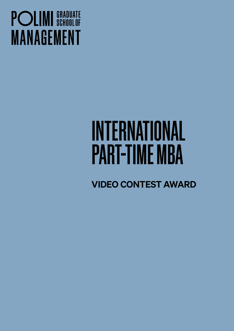## **POLIMI** SCHOOLOF **MANAGEMENT**

# INTERNATIONAL PART-TIME MBA

VIDEO CONTEST AWARD